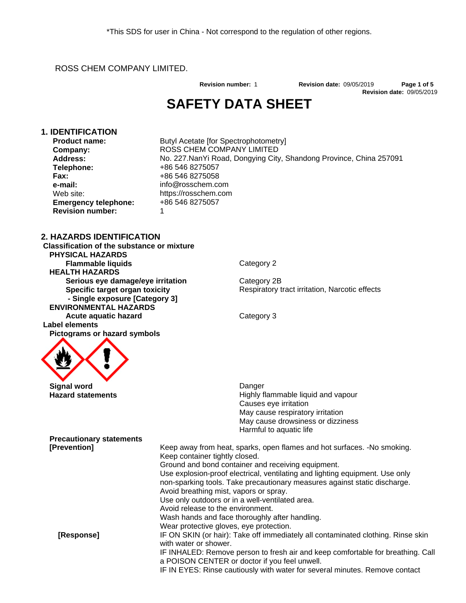ROSS CHEM COMPANY LIMITED.

**Revision date:** 09/05/2019 **Revision number:** 1 **Revision date:** 09/05/2019 **Page 1 of 5**

## **SAFETY DATA SHEET**

#### **1. IDENTIFICATION**

**Product name: Company: Address: Telephone: Fax: e-mail:** Web site: **Emergency telephone: Revision number:**

Ser in China - Not correspond to the regulation of<br>
MITED.<br>
Revision number: 1<br>
SAFETY DATA SHEET<br>
Butyl Acetate [for Spectrophotometry]<br>
ROSS CHEM COMPANY LIMITED<br>
No. 227.NanYi Road, Dongying City, Shandong P<br>
+86 546 82 ROSS CHEM COMPANY LIMITED No. 227.NanYi Road, Dongying City, Shandong Province, China 257091 +86 546 8275057 +86 546 8275058 info@rosschem.com https://rosschem.com +86 546 8275057 1

#### **2. HAZARDS IDENTIFICATION**

**Classification of the substance or mixture PHYSICAL HAZARDS Flammable liquids** Category 2  **HEALTH HAZARDS Serious** eye damage/eye irritation Category 2B **Specific target organ toxicity - Single exposure [Category 3] ENVIRONMENTAL HAZARDS Acute aquatic hazard** Category 3  **Label elements Pictograms or hazard symbols**

Respiratory tract irritation, Narcotic effects



**Hazard statements Highly flammable liquid and vapour Highly flammable liquid and vapour** Causes eye irritation May cause respiratory irritation May cause drowsiness or dizziness Harmful to aquatic life

#### **Precautionary statements [Prevention]** Keep away from heat, sparks, open flames and hot surfaces. -No smoking. Keep container tightly closed. Ground and bond container and receiving equipment. Use explosion-proof electrical, ventilating and lighting equipment. Use only non-sparking tools. Take precautionary measures against static discharge. Avoid breathing mist, vapors or spray.<br>Use only outdoors or in a well-ventilated area. Avoid release to the environment. Wash hands and face thoroughly after handling. Wear protective gloves, eye protection. **[Response]** IF ON SKIN (or hair): Take off immediately all contaminated clothing. Rinse skin with water or shower. IF INHALED: Remove person to fresh air and keep comfortable for breathing. Call a POISON CENTER or doctor if you feel unwell.

IF IN EYES: Rinse cautiously with water for several minutes. Remove contact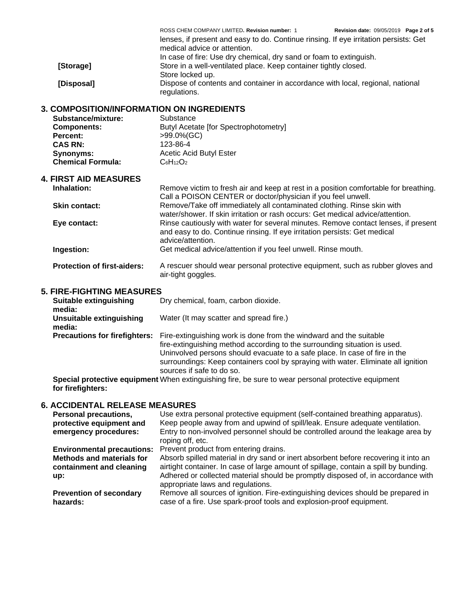| Call a POISON CENTER or doctor/physician if you feel unwell.<br>Remove/Take off immediately all contaminated clothing. Rinse skin with<br><b>Skin contact:</b><br>water/shower. If skin irritation or rash occurs: Get medical advice/attention.<br>Rinse cautiously with water for several minutes. Remove contact lenses, if present<br>Eye contact:<br>and easy to do. Continue rinsing. If eye irritation persists: Get medical<br>advice/attention.<br>Ingestion:<br>Get medical advice/attention if you feel unwell. Rinse mouth. |  |
|-----------------------------------------------------------------------------------------------------------------------------------------------------------------------------------------------------------------------------------------------------------------------------------------------------------------------------------------------------------------------------------------------------------------------------------------------------------------------------------------------------------------------------------------|--|
|                                                                                                                                                                                                                                                                                                                                                                                                                                                                                                                                         |  |
|                                                                                                                                                                                                                                                                                                                                                                                                                                                                                                                                         |  |
|                                                                                                                                                                                                                                                                                                                                                                                                                                                                                                                                         |  |
| Inhalation:<br>Remove victim to fresh air and keep at rest in a position comfortable for breathing.                                                                                                                                                                                                                                                                                                                                                                                                                                     |  |
| <b>4. FIRST AID MEASURES</b>                                                                                                                                                                                                                                                                                                                                                                                                                                                                                                            |  |
| <b>Chemical Formula:</b><br>$C_6H_{12}O_2$                                                                                                                                                                                                                                                                                                                                                                                                                                                                                              |  |
| Acetic Acid Butyl Ester<br><b>Synonyms:</b>                                                                                                                                                                                                                                                                                                                                                                                                                                                                                             |  |
| <b>CAS RN:</b><br>123-86-4                                                                                                                                                                                                                                                                                                                                                                                                                                                                                                              |  |
| Percent:<br>>99.0%(GC)                                                                                                                                                                                                                                                                                                                                                                                                                                                                                                                  |  |
| Substance/mixture:<br>Substance<br>Butyl Acetate [for Spectrophotometry]<br><b>Components:</b>                                                                                                                                                                                                                                                                                                                                                                                                                                          |  |
| <b>3. COMPOSITION/INFORMATION ON INGREDIENTS</b>                                                                                                                                                                                                                                                                                                                                                                                                                                                                                        |  |
| Dispose of contents and container in accordance with local, regional, national<br>[Disposal]<br>regulations.                                                                                                                                                                                                                                                                                                                                                                                                                            |  |
| Store locked up.                                                                                                                                                                                                                                                                                                                                                                                                                                                                                                                        |  |
| Store in a well-ventilated place. Keep container tightly closed.<br>[Storage]                                                                                                                                                                                                                                                                                                                                                                                                                                                           |  |
| medical advice or attention.<br>In case of fire: Use dry chemical, dry sand or foam to extinguish.                                                                                                                                                                                                                                                                                                                                                                                                                                      |  |
| lenses, if present and easy to do. Continue rinsing. If eye irritation persists: Get                                                                                                                                                                                                                                                                                                                                                                                                                                                    |  |
| ROSS CHEM COMPANY LIMITED. Revision number: 1<br>Revision date: 09/05/2019 Page 2 of 5                                                                                                                                                                                                                                                                                                                                                                                                                                                  |  |

# **Suitable extinguishing**

| Suitable extinguishing<br>media:     | Dry chemical, foam, carbon dioxide.                                                                                                                                                                                                                                                                                                             |
|--------------------------------------|-------------------------------------------------------------------------------------------------------------------------------------------------------------------------------------------------------------------------------------------------------------------------------------------------------------------------------------------------|
| Unsuitable extinguishing<br>media:   | Water (It may scatter and spread fire.)                                                                                                                                                                                                                                                                                                         |
| <b>Precautions for firefighters:</b> | Fire-extinguishing work is done from the windward and the suitable<br>fire-extinguishing method according to the surrounding situation is used.<br>Uninvolved persons should evacuate to a safe place. In case of fire in the<br>surroundings: Keep containers cool by spraying with water. Eliminate all ignition<br>sources if safe to do so. |
|                                      |                                                                                                                                                                                                                                                                                                                                                 |

**Special protective equipment for firefighters:** When extinguishing fire, be sure to wear personal protective equipment

### **6. ACCIDENTAL RELEASE MEASURES**

| <b>Personal precautions,</b><br>protective equipment and<br>emergency procedures: | Use extra personal protective equipment (self-contained breathing apparatus).<br>Keep people away from and upwind of spill/leak. Ensure adequate ventilation.<br>Entry to non-involved personnel should be controlled around the leakage area by<br>roping off, etc. |
|-----------------------------------------------------------------------------------|----------------------------------------------------------------------------------------------------------------------------------------------------------------------------------------------------------------------------------------------------------------------|
|                                                                                   | Environmental precautions: Prevent product from entering drains.                                                                                                                                                                                                     |
| <b>Methods and materials for</b>                                                  | Absorb spilled material in dry sand or inert absorbent before recovering it into an                                                                                                                                                                                  |
| containment and cleaning                                                          | airtight container. In case of large amount of spillage, contain a spill by bunding.                                                                                                                                                                                 |
| up:                                                                               | Adhered or collected material should be promptly disposed of, in accordance with<br>appropriate laws and regulations.                                                                                                                                                |
| <b>Prevention of secondary</b><br>hazards:                                        | Remove all sources of ignition. Fire-extinguishing devices should be prepared in<br>case of a fire. Use spark-proof tools and explosion-proof equipment.                                                                                                             |
|                                                                                   |                                                                                                                                                                                                                                                                      |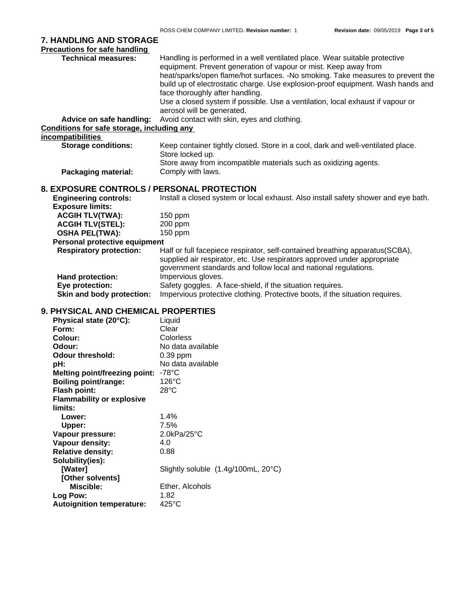|                                                                    | ROSS CHEM COMPANY LIMITED. Revision number: 1<br>Revision date: 09/05/2019 Page 3 of 5                                                    |
|--------------------------------------------------------------------|-------------------------------------------------------------------------------------------------------------------------------------------|
| 7. HANDLING AND STORAGE                                            |                                                                                                                                           |
| <b>Precautions for safe handling</b><br><b>Technical measures:</b> | Handling is performed in a well ventilated place. Wear suitable protective                                                                |
|                                                                    | equipment. Prevent generation of vapour or mist. Keep away from                                                                           |
|                                                                    | heat/sparks/open flame/hot surfaces. -No smoking. Take measures to prevent the                                                            |
|                                                                    | build up of electrostatic charge. Use explosion-proof equipment. Wash hands and                                                           |
|                                                                    | face thoroughly after handling.                                                                                                           |
|                                                                    | Use a closed system if possible. Use a ventilation, local exhaust if vapour or                                                            |
| Advice on safe handling:                                           | aerosol will be generated.<br>Avoid contact with skin, eyes and clothing.                                                                 |
| Conditions for safe storage, including any                         |                                                                                                                                           |
| incompatibilities                                                  |                                                                                                                                           |
| <b>Storage conditions:</b>                                         | Keep container tightly closed. Store in a cool, dark and well-ventilated place.                                                           |
|                                                                    | Store locked up.                                                                                                                          |
|                                                                    | Store away from incompatible materials such as oxidizing agents.                                                                          |
| <b>Packaging material:</b>                                         | Comply with laws.                                                                                                                         |
| 8. EXPOSURE CONTROLS / PERSONAL PROTECTION                         |                                                                                                                                           |
| <b>Engineering controls:</b>                                       | Install a closed system or local exhaust. Also install safety shower and eye bath.                                                        |
| <b>Exposure limits:</b>                                            |                                                                                                                                           |
| <b>ACGIH TLV(TWA):</b>                                             | 150 ppm                                                                                                                                   |
| <b>ACGIH TLV(STEL):</b><br><b>OSHA PEL(TWA):</b>                   | 200 ppm<br>150 ppm                                                                                                                        |
| Personal protective equipment                                      |                                                                                                                                           |
| <b>Respiratory protection:</b>                                     | Half or full facepiece respirator, self-contained breathing apparatus(SCBA),                                                              |
|                                                                    | supplied air respirator, etc. Use respirators approved under appropriate                                                                  |
|                                                                    | government standards and follow local and national regulations.                                                                           |
| <b>Hand protection:</b>                                            | Impervious gloves.                                                                                                                        |
| Eye protection:<br>Skin and body protection:                       | Safety goggles. A face-shield, if the situation requires.<br>Impervious protective clothing. Protective boots, if the situation requires. |
|                                                                    |                                                                                                                                           |
| 9. PHYSICAL AND CHEMICAL PROPERTIES                                |                                                                                                                                           |
| Physical state (20°C):<br>Form:                                    | Liquid<br>Clear                                                                                                                           |
| <b>Colour:</b>                                                     | Colorless                                                                                                                                 |
| Odour:                                                             | No data available                                                                                                                         |
| <b>Odour threshold:</b>                                            | 0.39 ppm                                                                                                                                  |
| pH:                                                                | No data available                                                                                                                         |
| Melting point/freezing point: - 78°C                               |                                                                                                                                           |
| <b>Boiling point/range:</b><br>Flash point:                        | $126^{\circ}$ C<br>$28^{\circ}$ C                                                                                                         |
| <b>Flammability or explosive</b>                                   |                                                                                                                                           |
| limits:                                                            |                                                                                                                                           |
| Lower:                                                             | 1.4%                                                                                                                                      |
| <b>Upper:</b>                                                      | 7.5%                                                                                                                                      |
| Vapour pressure:                                                   | 2.0kPa/25°C                                                                                                                               |
| Vapour density:                                                    | 4.0                                                                                                                                       |
| <b>Relative density:</b><br>Solubility(ies):                       | 0.88                                                                                                                                      |
| [Water]                                                            | Slightly soluble (1.4g/100mL, 20°C)                                                                                                       |
| [Other solvents]                                                   |                                                                                                                                           |
| Miscible:                                                          | Ether, Alcohols                                                                                                                           |
| Log Pow:                                                           | 1.82                                                                                                                                      |
| <b>Autoignition temperature:</b>                                   | 425°C                                                                                                                                     |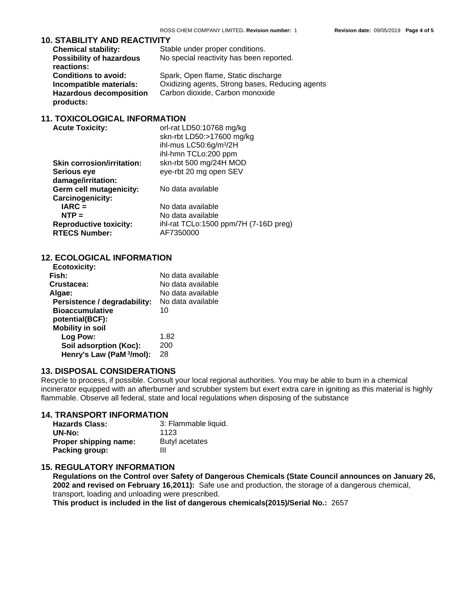#### **10. STABILITY AND REACTIVITY**

|                                 | ROSS CHEM COMPANY LIMITED. Revision number: 1   | <b>Revision date: 09/05/2019</b> | Page 4 of 5 |
|---------------------------------|-------------------------------------------------|----------------------------------|-------------|
| . STABILITY AND REACTIVITY      |                                                 |                                  |             |
| <b>Chemical stability:</b>      | Stable under proper conditions.                 |                                  |             |
| <b>Possibility of hazardous</b> | No special reactivity has been reported.        |                                  |             |
| reactions:                      |                                                 |                                  |             |
| <b>Conditions to avoid:</b>     | Spark, Open flame, Static discharge             |                                  |             |
| Incompatible materials:         | Oxidizing agents, Strong bases, Reducing agents |                                  |             |
| <b>Hazardous decomposition</b>  | Carbon dioxide, Carbon monoxide                 |                                  |             |
|                                 |                                                 |                                  |             |

#### **11. TOXICOLOGICAL INFORMATION**

| <b>Acute Toxicity:</b>            | orl-rat LD50:10768 mg/kg                   |
|-----------------------------------|--------------------------------------------|
|                                   | skn-rbt LD50:>17600 mg/kg                  |
|                                   | ihl-mus LC50:6g/m <sup>3</sup> /2H         |
|                                   | ihl-hmn TCLo:200 ppm                       |
| <b>Skin corrosion/irritation:</b> | skn-rbt 500 mg/24H MOD                     |
| Serious eye                       | eye-rbt 20 mg open SEV                     |
| damage/irritation:                |                                            |
| Germ cell mutagenicity:           | No data available                          |
| Carcinogenicity:                  |                                            |
| $IARC =$                          | No data available                          |
| $NTP =$                           | No data available                          |
| <b>Reproductive toxicity:</b>     | ihl-rat $TCLo:1500$ ppm/7H $(7-16D)$ preg) |
| <b>RTECS Number:</b>              | AF7350000                                  |

#### **12. ECOLOGICAL INFORMATION**

| <b>Ecotoxicity:</b>          |                   |
|------------------------------|-------------------|
| Fish:                        | No data available |
| Crustacea:                   | No data available |
| Algae:                       | No data available |
| Persistence / degradability: | No data available |
| <b>Bioaccumulative</b>       | 10                |
| potential(BCF):              |                   |
| <b>Mobility in soil</b>      |                   |
| Log Pow:                     | 1.82              |
| Soil adsorption (Koc):       | 200               |
| Henry's Law (PaM 3/mol):     | 28                |
|                              |                   |

#### **13. DISPOSAL CONSIDERATIONS**

Recycle to process, if possible. Consult your local regional authorities. You may be able to burn in a chemical incinerator equipped with an afterburner and scrubber system but exert extra care in igniting as this material is highly flammable. Observe all federal, state and local regulations when disposing of the substance

#### **14. TRANSPORT INFORMATION**

| <b>Hazards Class:</b> | 3: Flammable liquid. |
|-----------------------|----------------------|
| UN-No:                | 1123                 |
| Proper shipping name: | Butyl acetates       |
| <b>Packing group:</b> |                      |

#### **15. REGULATORY INFORMATION**

**Regulations on the Control over Safety of Dangerous Chemicals (State Council announces on January 26, 2002 and revised on February 16,2011):** Safe use and production, the storage of a dangerous chemical, transport, loading and unloading were prescribed.

**This product is included in the list of dangerous chemicals(2015)/Serial No.:** 2657